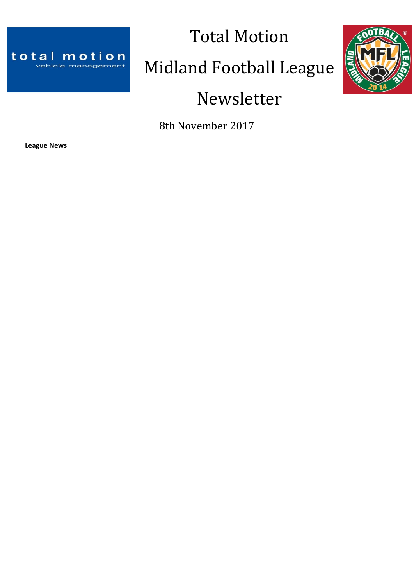

# Total Motion Midland Football League Newsletter



8th November 2017

**League News**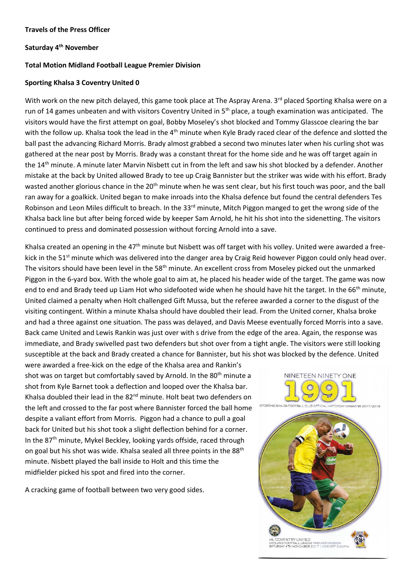#### **Travels of the Press Officer**

## **Saturday 4th November**

## **Total Motion Midland Football League Premier Division**

#### **Sporting Khalsa 3 Coventry United 0**

With work on the new pitch delayed, this game took place at The Aspray Arena. 3<sup>rd</sup> placed Sporting Khalsa were on a run of 14 games unbeaten and with visitors Coventry United in 5<sup>th</sup> place, a tough examination was anticipated. The visitors would have the first attempt on goal, Bobby Moseley's shot blocked and Tommy Glasscoe clearing the bar with the follow up. Khalsa took the lead in the 4<sup>th</sup> minute when Kyle Brady raced clear of the defence and slotted the ball past the advancing Richard Morris. Brady almost grabbed a second two minutes later when his curling shot was gathered at the near post by Morris. Brady was a constant threat for the home side and he was off target again in the 14<sup>th</sup> minute. A minute later Marvin Nisbett cut in from the left and saw his shot blocked by a defender. Another mistake at the back by United allowed Brady to tee up Craig Bannister but the striker was wide with his effort. Brady wasted another glorious chance in the 20<sup>th</sup> minute when he was sent clear, but his first touch was poor, and the ball ran away for a goalkick. United began to make inroads into the Khalsa defence but found the central defenders Tes Robinson and Leon Miles difficult to breach. In the 33<sup>rd</sup> minute, Mitch Piggon manged to get the wrong side of the Khalsa back line but after being forced wide by keeper Sam Arnold, he hit his shot into the sidenetting. The visitors continued to press and dominated possession without forcing Arnold into a save.

Khalsa created an opening in the 47<sup>th</sup> minute but Nisbett was off target with his volley. United were awarded a freekick in the  $51<sup>st</sup>$  minute which was delivered into the danger area by Craig Reid however Piggon could only head over. The visitors should have been level in the 58<sup>th</sup> minute. An excellent cross from Moseley picked out the unmarked Piggon in the 6-yard box. With the whole goal to aim at, he placed his header wide of the target. The game was now end to end and Brady teed up Liam Hot who sidefooted wide when he should have hit the target. In the 66<sup>th</sup> minute, United claimed a penalty when Holt challenged Gift Mussa, but the referee awarded a corner to the disgust of the visiting contingent. Within a minute Khalsa should have doubled their lead. From the United corner, Khalsa broke and had a three against one situation. The pass was delayed, and Davis Meese eventually forced Morris into a save. Back came United and Lewis Rankin was just over with s drive from the edge of the area. Again, the response was immediate, and Brady swivelled past two defenders but shot over from a tight angle. The visitors were still looking susceptible at the back and Brady created a chance for Bannister, but his shot was blocked by the defence. United

were awarded a free-kick on the edge of the Khalsa area and Rankin's shot was on target but comfortably saved by Arnold. In the 80<sup>th</sup> minute a shot from Kyle Barnet took a deflection and looped over the Khalsa bar. Khalsa doubled their lead in the 82<sup>nd</sup> minute. Holt beat two defenders on the left and crossed to the far post where Bannister forced the ball home despite a valiant effort from Morris. Piggon had a chance to pull a goal back for United but his shot took a slight deflection behind for a corner. In the 87th minute, Mykel Beckley, looking yards offside, raced through on goal but his shot was wide. Khalsa sealed all three points in the 88<sup>th</sup> minute. Nisbett played the ball inside to Holt and this time the midfielder picked his spot and fired into the corner.

A cracking game of football between two very good sides.

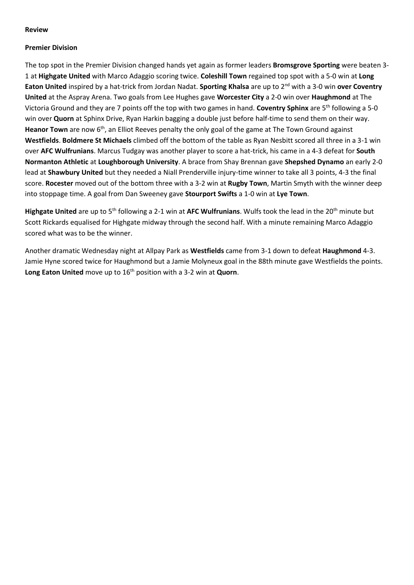## **Review**

## **Premier Division**

The top spot in the Premier Division changed hands yet again as former leaders **Bromsgrove Sporting** were beaten 3- 1 at **Highgate United** with Marco Adaggio scoring twice. **Coleshill Town** regained top spot with a 5-0 win at **Long**  Eaton United inspired by a hat-trick from Jordan Nadat. Sporting Khalsa are up to 2<sup>nd</sup> with a 3-0 win over Coventry **United** at the Aspray Arena. Two goals from Lee Hughes gave **Worcester City** a 2-0 win over **Haughmond** at The Victoria Ground and they are 7 points off the top with two games in hand. **Coventry Sphinx** are 5th following a 5-0 win over **Quorn** at Sphinx Drive, Ryan Harkin bagging a double just before half-time to send them on their way. **Heanor Town** are now 6<sup>th</sup>, an Elliot Reeves penalty the only goal of the game at The Town Ground against **Westfields**. **Boldmere St Michaels** climbed off the bottom of the table as Ryan Nesbitt scored all three in a 3-1 win over **AFC Wulfrunians**. Marcus Tudgay was another player to score a hat-trick, his came in a 4-3 defeat for **South Normanton Athletic** at **Loughborough University**. A brace from Shay Brennan gave **Shepshed Dynamo** an early 2-0 lead at **Shawbury United** but they needed a Niall Prenderville injury-time winner to take all 3 points, 4-3 the final score. **Rocester** moved out of the bottom three with a 3-2 win at **Rugby Town**, Martin Smyth with the winner deep into stoppage time. A goal from Dan Sweeney gave **Stourport Swifts** a 1-0 win at **Lye Town**.

Highgate United are up to 5<sup>th</sup> following a 2-1 win at AFC Wulfrunians. Wulfs took the lead in the 20<sup>th</sup> minute but Scott Rickards equalised for Highgate midway through the second half. With a minute remaining Marco Adaggio scored what was to be the winner.

Another dramatic Wednesday night at Allpay Park as **Westfields** came from 3-1 down to defeat **Haughmond** 4-3. Jamie Hyne scored twice for Haughmond but a Jamie Molyneux goal in the 88th minute gave Westfields the points. Long Eaton United move up to 16<sup>th</sup> position with a 3-2 win at Quorn.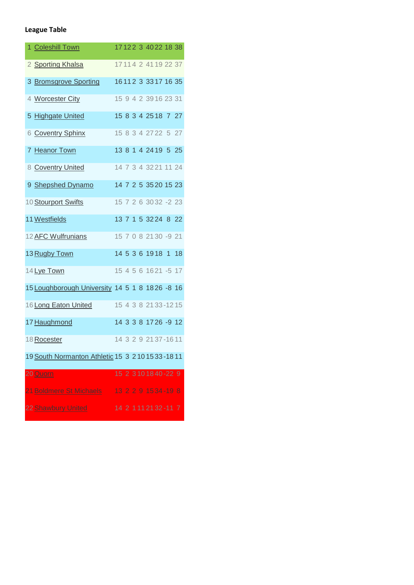# **League Table**

| 1 Coleshill Town                                    |  |  |  | 17122 3 4022 18 38         |    |
|-----------------------------------------------------|--|--|--|----------------------------|----|
| 2 Sporting Khalsa                                   |  |  |  | 17114 2 4119 22 37         |    |
| 3 Bromsgrove Sporting                               |  |  |  | 16112 3 3317 16 35         |    |
| 4 Worcester City                                    |  |  |  | 15 9 4 2 39 16 23 31       |    |
| 5 Highgate United                                   |  |  |  | 15 8 3 4 25 18 7 27        |    |
| 6 Coventry Sphinx                                   |  |  |  | 15 8 3 4 27 22 5 27        |    |
| 7 Heanor Town                                       |  |  |  | 13 8 1 4 24 19 5 25        |    |
| 8 Coventry United                                   |  |  |  | 14 7 3 4 32 21 11 24       |    |
| 9 Shepshed Dynamo                                   |  |  |  | 14 7 2 5 35 20 15 23       |    |
| 10 Stourport Swifts                                 |  |  |  | 15 7 2 6 30 32 -2 23       |    |
| 11 Westfields                                       |  |  |  | 13 7 1 5 32 24 8 22        |    |
| 12 AFC Wulfrunians                                  |  |  |  | 15 7 0 8 21 30 -9 21       |    |
| 13 Rugby Town                                       |  |  |  | 14 5 3 6 19 18 1           | 18 |
| 14 Lye Town                                         |  |  |  | 15 4 5 6 16 21 - 5 17      |    |
| 15 Loughborough University 14 5 1 8 1826 -8 16      |  |  |  |                            |    |
| 16 Long Eaton United                                |  |  |  | 15 4 3 8 21 33 - 12 15     |    |
| 17 Haughmond                                        |  |  |  | 14 3 3 8 17 26 -9 12       |    |
| 18 Rocester                                         |  |  |  | 14 3 2 9 21 37 - 16 11     |    |
| 19 South Normanton Athletic 15 3 2 10 15 33 - 18 11 |  |  |  |                            |    |
| 20 Quorn                                            |  |  |  | 15 2 3 10 18 40 - 22 9     |    |
| 21 Boldmere St Michaels                             |  |  |  | 13 2 2 9 15 34 - 19 8      |    |
| 22 Shawbury United                                  |  |  |  | 14 2 1 1 1 2 1 3 2 - 1 1 7 |    |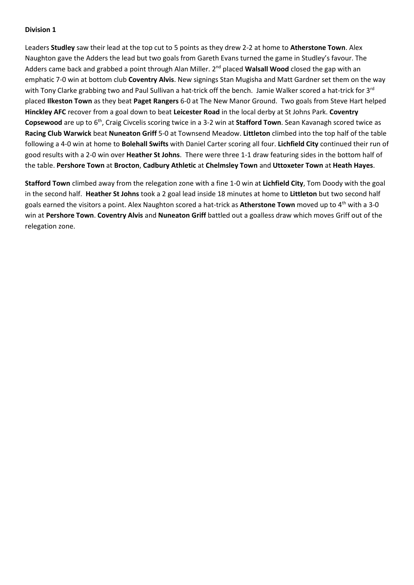Leaders **Studley** saw their lead at the top cut to 5 points as they drew 2-2 at home to **Atherstone Town**. Alex Naughton gave the Adders the lead but two goals from Gareth Evans turned the game in Studley's favour. The Adders came back and grabbed a point through Alan Miller. 2<sup>nd</sup> placed Walsall Wood closed the gap with an emphatic 7-0 win at bottom club **Coventry Alvis**. New signings Stan Mugisha and Matt Gardner set them on the way with Tony Clarke grabbing two and Paul Sullivan a hat-trick off the bench. Jamie Walker scored a hat-trick for 3<sup>rd</sup> placed **Ilkeston Town** as they beat **Paget Rangers** 6-0 at The New Manor Ground. Two goals from Steve Hart helped **Hinckley AFC** recover from a goal down to beat **Leicester Road** in the local derby at St Johns Park. **Coventry Copsewood** are up to 6th, Craig Civcelis scoring twice in a 3-2 win at **Stafford Town**. Sean Kavanagh scored twice as **Racing Club Warwick** beat **Nuneaton Griff** 5-0 at Townsend Meadow. **Littleton** climbed into the top half of the table following a 4-0 win at home to **Bolehall Swifts** with Daniel Carter scoring all four. **Lichfield City** continued their run of good results with a 2-0 win over **Heather St Johns**. There were three 1-1 draw featuring sides in the bottom half of the table. **Pershore Town** at **Brocton**, **Cadbury Athletic** at **Chelmsley Town** and **Uttoxeter Town** at **Heath Hayes**.

**Stafford Town** climbed away from the relegation zone with a fine 1-0 win at **Lichfield City**, Tom Doody with the goal in the second half. **Heather St Johns** took a 2 goal lead inside 18 minutes at home to **Littleton** but two second half goals earned the visitors a point. Alex Naughton scored a hat-trick as **Atherstone Town** moved up to 4th with a 3-0 win at **Pershore Town**. **Coventry Alvis** and **Nuneaton Griff** battled out a goalless draw which moves Griff out of the relegation zone.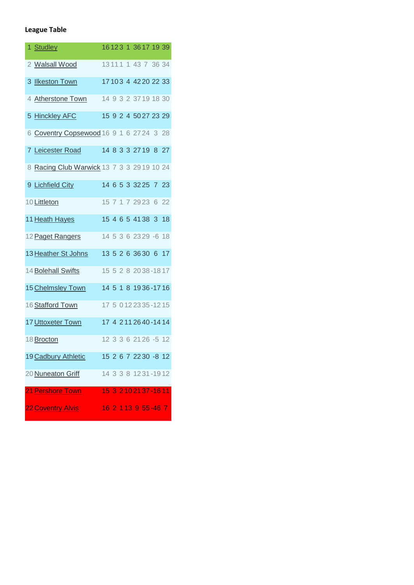# **League Table**

| 1 Studley                                  |  |  |  | 16123 1 3617 19 39      |  |
|--------------------------------------------|--|--|--|-------------------------|--|
| 2 Walsall Wood                             |  |  |  | 13 11 1 1 43 7 36 34    |  |
| 3 Ilkeston Town                            |  |  |  | 17 10 3 4 42 20 22 33   |  |
| 4 Atherstone Town                          |  |  |  | 14 9 3 2 37 19 18 30    |  |
| 5 Hinckley AFC                             |  |  |  | 15 9 2 4 50 27 23 29    |  |
| 6 Coventry Copsewood 16 9 1 6 27 24 3 28   |  |  |  |                         |  |
| 7 Leicester Road                           |  |  |  | 14 8 3 3 27 19 8 27     |  |
| 8 Racing Club Warwick 13 7 3 3 29 19 10 24 |  |  |  |                         |  |
| 9 Lichfield City                           |  |  |  | 14 6 5 3 3 2 2 5 7 2 3  |  |
| 10 Littleton                               |  |  |  | 15 7 1 7 29 23 6 22     |  |
| 11 Heath Hayes                             |  |  |  | 15 4 6 5 41 38 3 18     |  |
| 12 Paget Rangers                           |  |  |  | 14 5 3 6 23 29 -6 18    |  |
| 13 Heather St Johns                        |  |  |  | 13 5 2 6 36 30 6 17     |  |
| 14 Bolehall Swifts                         |  |  |  | 15 5 2 8 2038-1817      |  |
| 15 Chelmsley Town                          |  |  |  | 14 5 1 8 1936-1716      |  |
| 16 Stafford Town                           |  |  |  | 17 5 0 12 23 35 - 12 15 |  |
| 17 Uttoxeter Town                          |  |  |  | 17 4 2 11 26 40 - 14 14 |  |
| 18 Brocton                                 |  |  |  | 12 3 3 6 21 26 -5 12    |  |
| 19 Cadbury Athletic                        |  |  |  | 15 2 6 7 22 30 -8 12    |  |
| 20 Nuneaton Griff                          |  |  |  | 14 3 3 8 12 31 - 19 12  |  |
| 21 Pershore Town                           |  |  |  | 15 3 210 21 37 - 16 11  |  |
| 22 Coventry Alvis                          |  |  |  | 16 2 113 9 55 - 46 7    |  |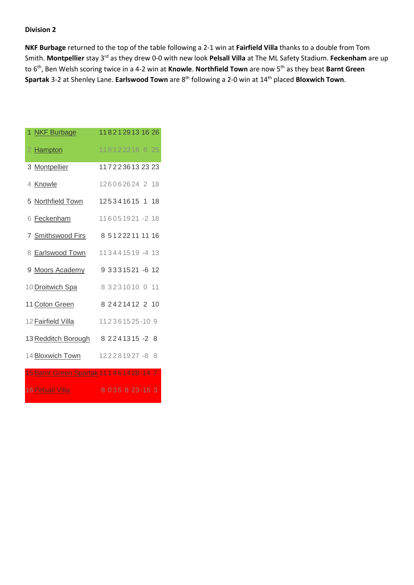**NKF Burbage** returned to the top of the table following a 2-1 win at **Fairfield Villa** thanks to a double from Tom Smith. **Montpellier** stay 3rd as they drew 0-0 with new look **Pelsall Villa** at The ML Safety Stadium. **Feckenham** are up to 6th, Ben Welsh scoring twice in a 4-2 win at **Knowle**. **Northfield Town** are now 5th as they beat **Barnt Green Spartak** 3-2 at Shenley Lane. **Earlswood Town** are 8th following a 2-0 win at 14th placed **Bloxwich Town**.

| 1 NKF Burbage                                  | 1182129131626             |
|------------------------------------------------|---------------------------|
| 2 Hampton                                      | 118122216625              |
| 3 Montpellier                                  | 1172236132323             |
| 4 Knowle                                       | 126062624 2 18            |
| 5 Northfield Town                              | 125341615 1 18            |
| 6 Feckenham                                    | 116051921 -2 18           |
| 7 Smithswood Firs                              | 8 5 1 2 2 2 1 1 1 1 1 1 6 |
| 8 Earlswood Town                               | 113441519-413             |
| 9 Moors Academy                                | 9 3 3 3 1 5 21 - 6 1 2    |
| 10 Droitwich Spa                               | 8 3 2 3 1 0 1 0 1 1 1     |
| 11 Coton Green                                 | 8 2 4 2 1 4 1 2 2 1 0     |
| 12 Fairfield Villa                             | 112361525-109             |
| 13 Redditch Borough                            | 8 2 2 4 1 3 1 5 - 2 8     |
| 14 Bloxwich Town                               | 122281927-88              |
| 15 Barnt Green Spartak 11 1 4 6 1 4 2 8 - 14 7 |                           |
| 16 Pelsall Villa                               | 8 0 3 5 8 2 3 - 1 5 3     |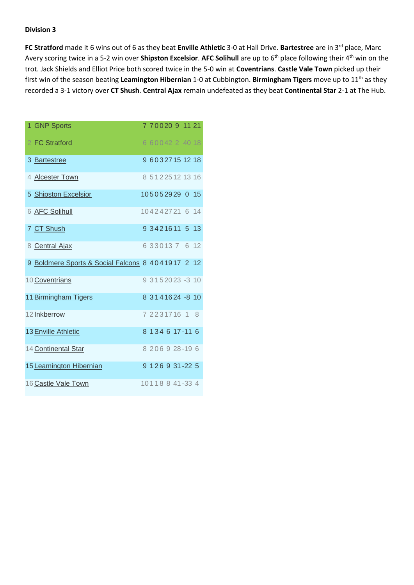**FC Stratford** made it 6 wins out of 6 as they beat **Enville Athletic** 3-0 at Hall Drive. Bartestree are in 3<sup>rd</sup> place, Marc Avery scoring twice in a 5-2 win over **Shipston Excelsior**. AFC Solihull are up to 6<sup>th</sup> place following their 4<sup>th</sup> win on the trot. Jack Shields and Elliot Price both scored twice in the 5-0 win at **Coventrians**. **Castle Vale Town** picked up their first win of the season beating **Leamington Hibernian** 1-0 at Cubbington. **Birmingham Tigers** move up to 11th as they recorded a 3-1 victory over **CT Shush**. **Central Ajax** remain undefeated as they beat **Continental Star** 2-1 at The Hub.

| 1 GNP Sports                                      |  |  |  | 7 7 0 0 20 9 11 21      |  |
|---------------------------------------------------|--|--|--|-------------------------|--|
| 2 FC Stratford                                    |  |  |  | 6 60042 2 40 18         |  |
| 3 Bartestree                                      |  |  |  | 9 6032715 12 18         |  |
| 4 Alcester Town                                   |  |  |  | 8 5 1 2 2 5 1 2 1 3 1 6 |  |
| 5 Shipston Excelsior                              |  |  |  | 105052929 0 15          |  |
| 6 AFC Solihull                                    |  |  |  | 104242721 6 14          |  |
| 7 CT Shush                                        |  |  |  | 9 3421611 5 13          |  |
| 8 Central Ajax                                    |  |  |  | 6 3 3 0 1 3 7 6 12      |  |
| 9 Boldmere Sports & Social Falcons 8 4041917 2 12 |  |  |  |                         |  |
| 10 Coventrians                                    |  |  |  | 9 3 1 5 2 0 2 3 - 3 1 0 |  |
| 11 Birmingham Tigers                              |  |  |  | 8 3 1 4 1 6 2 4 - 8 10  |  |
| 12 Inkberrow                                      |  |  |  | 7 2 2 3 1 7 1 6 1 8     |  |
| 13 Enville Athletic                               |  |  |  | 8 1 3 4 6 1 7 - 11 6    |  |
| 14 Continental Star                               |  |  |  | 8 206 9 28-19 6         |  |
| 15 Leamington Hibernian                           |  |  |  | 9 1 2 6 9 3 1 - 2 2 5   |  |
| 16 Castle Vale Town                               |  |  |  | 10118841-334            |  |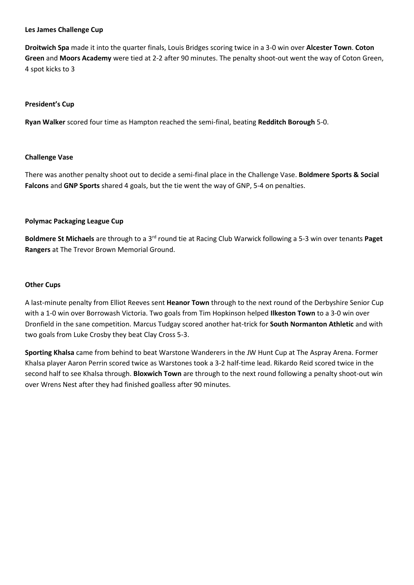## **Les James Challenge Cup**

**Droitwich Spa** made it into the quarter finals, Louis Bridges scoring twice in a 3-0 win over **Alcester Town**. **Coton Green** and **Moors Academy** were tied at 2-2 after 90 minutes. The penalty shoot-out went the way of Coton Green, 4 spot kicks to 3

## **President's Cup**

**Ryan Walker** scored four time as Hampton reached the semi-final, beating **Redditch Borough** 5-0.

## **Challenge Vase**

There was another penalty shoot out to decide a semi-final place in the Challenge Vase. **Boldmere Sports & Social Falcons** and **GNP Sports** shared 4 goals, but the tie went the way of GNP, 5-4 on penalties.

## **Polymac Packaging League Cup**

**Boldmere St Michaels** are through to a 3rd round tie at Racing Club Warwick following a 5-3 win over tenants **Paget Rangers** at The Trevor Brown Memorial Ground.

#### **Other Cups**

A last-minute penalty from Elliot Reeves sent **Heanor Town** through to the next round of the Derbyshire Senior Cup with a 1-0 win over Borrowash Victoria. Two goals from Tim Hopkinson helped **Ilkeston Town** to a 3-0 win over Dronfield in the sane competition. Marcus Tudgay scored another hat-trick for **South Normanton Athletic** and with two goals from Luke Crosby they beat Clay Cross 5-3.

**Sporting Khalsa** came from behind to beat Warstone Wanderers in the JW Hunt Cup at The Aspray Arena. Former Khalsa player Aaron Perrin scored twice as Warstones took a 3-2 half-time lead. Rikardo Reid scored twice in the second half to see Khalsa through. **Bloxwich Town** are through to the next round following a penalty shoot-out win over Wrens Nest after they had finished goalless after 90 minutes.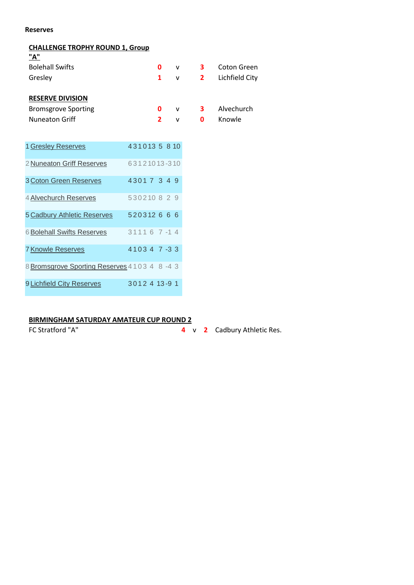#### **Reserves**

## **CHALLENGE TROPHY ROUND 1, Group**

| "A"                        |   |              |                         |                         |
|----------------------------|---|--------------|-------------------------|-------------------------|
| <b>Bolehall Swifts</b>     | 0 | $\mathsf{v}$ | 3                       | Coton Green             |
| Gresley                    |   | V            |                         | <b>2</b> Lichfield City |
|                            |   |              |                         |                         |
| <b>RESERVE DIVISION</b>    |   |              |                         |                         |
| <b>Bromsgrove Sporting</b> | 0 | $\mathsf{v}$ | $\overline{\mathbf{3}}$ | Alvechurch              |
| <b>Nuneaton Griff</b>      |   | v            | 0                       | Knowle                  |

| 1 Gresley Reserves                           |  |  | 4310135810     |  |  |
|----------------------------------------------|--|--|----------------|--|--|
| 2 Nuneaton Griff Reserves                    |  |  | 63121013-310   |  |  |
| 3 Coton Green Reserves                       |  |  | 43017349       |  |  |
| 4 Alvechurch Reserves                        |  |  | 530210829      |  |  |
| 5 Cadbury Athletic Reserves                  |  |  | 520312666      |  |  |
| <b>6 Bolehall Swifts Reserves</b>            |  |  | $31116$ 7 -1 4 |  |  |
| <b>7 Knowle Reserves</b>                     |  |  | 41034 7-33     |  |  |
| 8 Bromsgrove Sporting Reserves 4103 4 8 -4 3 |  |  |                |  |  |
| 9 Lichfield City Reserves                    |  |  | 3012 4 13-9 1  |  |  |

# **BIRMINGHAM SATURDAY AMATEUR CUP ROUND 2**

FC Stratford "A" **4** v **2** Cadbury Athletic Res.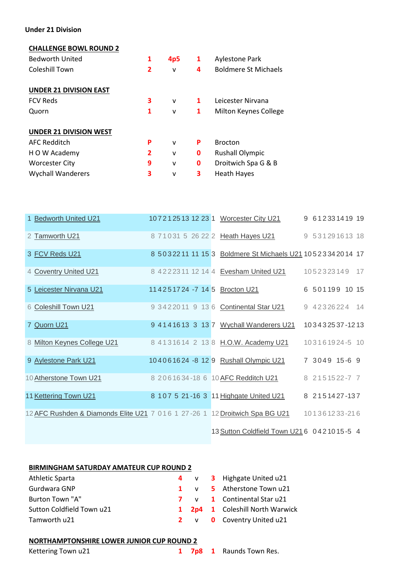## **Under 21 Division**

## **CHALLENGE BOWL ROUND 2**

| 1 | 4p5          | 1 | <b>Aylestone Park</b>       |
|---|--------------|---|-----------------------------|
| 2 | v            | 4 | <b>Boldmere St Michaels</b> |
|   |              |   |                             |
|   |              |   |                             |
| 3 | v            | 1 | Leicester Nirvana           |
| 1 | ٧            | 1 | Milton Keynes College       |
|   |              |   |                             |
|   |              |   |                             |
| P | $\mathsf{v}$ | P | <b>Brocton</b>              |
| 2 | ٧            | 0 | <b>Rushall Olympic</b>      |
| 9 | v            | 0 | Droitwich Spa G & B         |
| 3 | ٧            | 3 | <b>Heath Hayes</b>          |
|   |              |   |                             |

| 1 Bedworth United U21                                                       |  |  |  | 10721251312231 Worcester City U21                           |  | 9 612331419 19 |  |
|-----------------------------------------------------------------------------|--|--|--|-------------------------------------------------------------|--|----------------|--|
| 2 Tamworth U21                                                              |  |  |  | 8 71031 5 26 22 2 Heath Hayes U21                           |  | 9 531291613 18 |  |
| 3 FCV Reds U21                                                              |  |  |  | 8 50322 11 11 15 3 Boldmere St Michaels U21 1052334 2014 17 |  |                |  |
| 4 Coventry United U21                                                       |  |  |  | 8 42223 11 12 14 4 Evesham United U21                       |  | 1052323149 17  |  |
| 5 Leicester Nirvana U21                                                     |  |  |  | 114251724 -7 14 5 Brocton U21                               |  | 6 501199 10 15 |  |
| 6 Coleshill Town U21                                                        |  |  |  | 9 3422011 9 13 6 Continental Star U21                       |  | 9 42326224 14  |  |
| 7 Quorn U21                                                                 |  |  |  | 9 4141613 3 13 7 Wychall Wanderers U21                      |  | 103432537-1213 |  |
| 8 Milton Keynes College U21                                                 |  |  |  | 8 4131614 2 13 8 H.O.W. Academy U21                         |  | 103161924-5 10 |  |
| 9 Aylestone Park U21                                                        |  |  |  | 104061624 -8 12 9 Rushall Olympic U21                       |  | 7 3049 15-6 9  |  |
| 10 Atherstone Town U21                                                      |  |  |  | 8 206 16 34 - 18 6 10 AFC Redditch U21                      |  | 8 2151522-7 7  |  |
| 11 Kettering Town U21                                                       |  |  |  | 8 107 5 21-16 3 11 Highgate United U21                      |  | 8 2151427-137  |  |
| 12 AFC Rushden & Diamonds Elite U21 7 016 1 27-26 1 12 Droitwich Spa BG U21 |  |  |  |                                                             |  | 101361233-216  |  |
|                                                                             |  |  |  |                                                             |  |                |  |

1[3Sutton Coldfield Town U21](http://fulltime-league.thefa.com/DisplayTeam.do;jsessionid=473E89DB0FDFC49D226F11B6BDC056DA?divisionseason=281493970&teamID=743809433) 6 0 4 2 10 15 -5 4

#### **BIRMINGHAM SATURDAY AMATEUR CUP ROUND 2**

| Athletic Sparta           |  | 4 v 3 Highgate United u21                |
|---------------------------|--|------------------------------------------|
| Gurdwara GNP              |  | 1 v 5 Atherstone Town u21                |
| Burton Town "A"           |  | <b>7</b> v <b>1</b> Continental Star u21 |
| Sutton Coldfield Town u21 |  | <b>1 2p4 1</b> Coleshill North Warwick   |
| Tamworth u21              |  | 2 v 0 Coventry United u21                |

#### **NORTHAMPTONSHIRE LOWER JUNIOR CUP ROUND 2**

| Kettering Town u21 |  |  |
|--------------------|--|--|
|--------------------|--|--|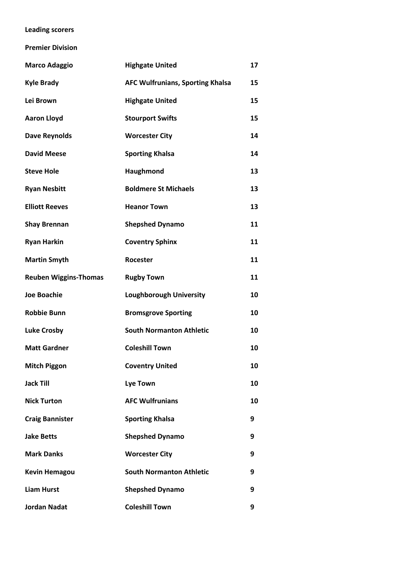# **Leading scorers**

**Premier Division**

| <b>Marco Adaggio</b>         | <b>Highgate United</b>                  | 17 |
|------------------------------|-----------------------------------------|----|
| <b>Kyle Brady</b>            | <b>AFC Wulfrunians, Sporting Khalsa</b> | 15 |
| Lei Brown                    | <b>Highgate United</b>                  | 15 |
| <b>Aaron Lloyd</b>           | <b>Stourport Swifts</b>                 | 15 |
| <b>Dave Reynolds</b>         | <b>Worcester City</b>                   | 14 |
| <b>David Meese</b>           | <b>Sporting Khalsa</b>                  | 14 |
| <b>Steve Hole</b>            | Haughmond                               | 13 |
| <b>Ryan Nesbitt</b>          | <b>Boldmere St Michaels</b>             | 13 |
| <b>Elliott Reeves</b>        | <b>Heanor Town</b>                      | 13 |
| <b>Shay Brennan</b>          | <b>Shepshed Dynamo</b>                  | 11 |
| <b>Ryan Harkin</b>           | <b>Coventry Sphinx</b>                  | 11 |
| <b>Martin Smyth</b>          | Rocester                                | 11 |
| <b>Reuben Wiggins-Thomas</b> | <b>Rugby Town</b>                       | 11 |
| <b>Joe Boachie</b>           | <b>Loughborough University</b>          | 10 |
| <b>Robbie Bunn</b>           | <b>Bromsgrove Sporting</b>              | 10 |
| <b>Luke Crosby</b>           | <b>South Normanton Athletic</b>         | 10 |
| <b>Matt Gardner</b>          | <b>Coleshill Town</b>                   | 10 |
| <b>Mitch Piggon</b>          | <b>Coventry United</b>                  | 10 |
| <b>Jack Till</b>             | <b>Lye Town</b>                         | 10 |
| <b>Nick Turton</b>           | <b>AFC Wulfrunians</b>                  | 10 |
| <b>Craig Bannister</b>       | <b>Sporting Khalsa</b>                  | 9  |
| <b>Jake Betts</b>            | <b>Shepshed Dynamo</b>                  | 9  |
| <b>Mark Danks</b>            | <b>Worcester City</b>                   | 9  |
| <b>Kevin Hemagou</b>         | <b>South Normanton Athletic</b>         | 9  |
| <b>Liam Hurst</b>            | <b>Shepshed Dynamo</b>                  | 9  |
| <b>Jordan Nadat</b>          | <b>Coleshill Town</b>                   | 9  |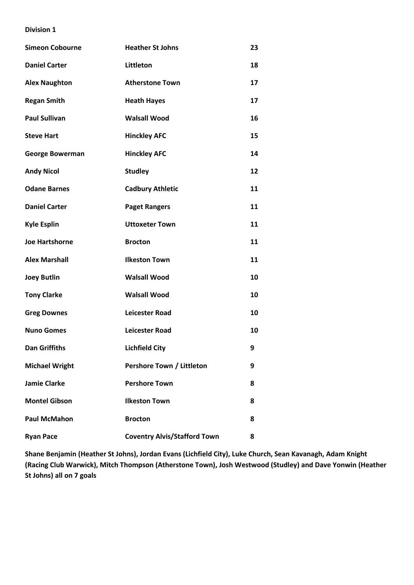| <b>Simeon Cobourne</b> | <b>Heather St Johns</b>             | 23 |
|------------------------|-------------------------------------|----|
| <b>Daniel Carter</b>   | Littleton                           | 18 |
| <b>Alex Naughton</b>   | <b>Atherstone Town</b>              | 17 |
| <b>Regan Smith</b>     | <b>Heath Hayes</b>                  | 17 |
| <b>Paul Sullivan</b>   | <b>Walsall Wood</b>                 | 16 |
| <b>Steve Hart</b>      | <b>Hinckley AFC</b>                 | 15 |
| <b>George Bowerman</b> | <b>Hinckley AFC</b>                 | 14 |
| <b>Andy Nicol</b>      | <b>Studley</b>                      | 12 |
| <b>Odane Barnes</b>    | <b>Cadbury Athletic</b>             | 11 |
| <b>Daniel Carter</b>   | <b>Paget Rangers</b>                | 11 |
| <b>Kyle Esplin</b>     | <b>Uttoxeter Town</b>               | 11 |
| <b>Joe Hartshorne</b>  | <b>Brocton</b>                      | 11 |
| <b>Alex Marshall</b>   | <b>Ilkeston Town</b>                | 11 |
| <b>Joey Butlin</b>     | <b>Walsall Wood</b>                 | 10 |
| <b>Tony Clarke</b>     | <b>Walsall Wood</b>                 | 10 |
| <b>Greg Downes</b>     | <b>Leicester Road</b>               | 10 |
| <b>Nuno Gomes</b>      | <b>Leicester Road</b>               | 10 |
| <b>Dan Griffiths</b>   | <b>Lichfield City</b>               | 9  |
| <b>Michael Wright</b>  | Pershore Town / Littleton           | 9  |
| <b>Jamie Clarke</b>    | <b>Pershore Town</b>                | 8  |
| <b>Montel Gibson</b>   | <b>Ilkeston Town</b>                | 8  |
| <b>Paul McMahon</b>    | <b>Brocton</b>                      | 8  |
| <b>Ryan Pace</b>       | <b>Coventry Alvis/Stafford Town</b> | 8  |

**Shane Benjamin (Heather St Johns), Jordan Evans (Lichfield City), Luke Church, Sean Kavanagh, Adam Knight (Racing Club Warwick), Mitch Thompson (Atherstone Town), Josh Westwood (Studley) and Dave Yonwin (Heather St Johns) all on 7 goals**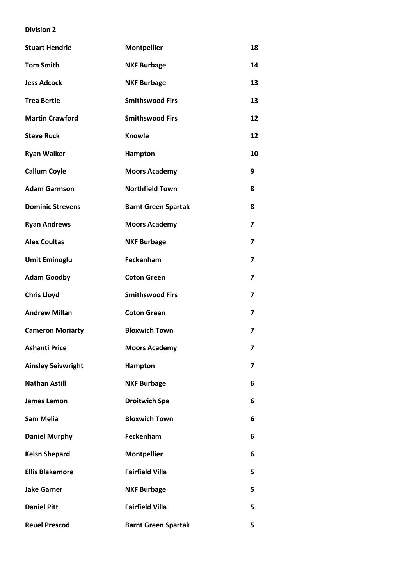| <b>Stuart Hendrie</b>     | <b>Montpellier</b>         | 18                       |
|---------------------------|----------------------------|--------------------------|
| <b>Tom Smith</b>          | <b>NKF Burbage</b>         | 14                       |
| <b>Jess Adcock</b>        | <b>NKF Burbage</b>         | 13                       |
| <b>Trea Bertie</b>        | <b>Smithswood Firs</b>     | 13                       |
| <b>Martin Crawford</b>    | <b>Smithswood Firs</b>     | 12                       |
| <b>Steve Ruck</b>         | <b>Knowle</b>              | 12                       |
| <b>Ryan Walker</b>        | Hampton                    | 10                       |
| <b>Callum Coyle</b>       | <b>Moors Academy</b>       | 9                        |
| <b>Adam Garmson</b>       | <b>Northfield Town</b>     | 8                        |
| <b>Dominic Strevens</b>   | <b>Barnt Green Spartak</b> | 8                        |
| <b>Ryan Andrews</b>       | <b>Moors Academy</b>       | 7                        |
| <b>Alex Coultas</b>       | <b>NKF Burbage</b>         | $\overline{\phantom{a}}$ |
| <b>Umit Eminoglu</b>      | Feckenham                  | 7                        |
| <b>Adam Goodby</b>        | <b>Coton Green</b>         | 7                        |
| <b>Chris Lloyd</b>        | <b>Smithswood Firs</b>     | 7                        |
| <b>Andrew Millan</b>      | <b>Coton Green</b>         | $\overline{\mathbf{z}}$  |
| <b>Cameron Moriarty</b>   | <b>Bloxwich Town</b>       | $\overline{\mathbf{z}}$  |
| <b>Ashanti Price</b>      | <b>Moors Academy</b>       | 7                        |
| <b>Ainsley Seivwright</b> | Hampton                    | 7                        |
| <b>Nathan Astill</b>      | <b>NKF Burbage</b>         | 6                        |
| James Lemon               | <b>Droitwich Spa</b>       | 6                        |
| <b>Sam Melia</b>          | <b>Bloxwich Town</b>       | 6                        |
| <b>Daniel Murphy</b>      | Feckenham                  | 6                        |
| <b>Kelsn Shepard</b>      | <b>Montpellier</b>         | 6                        |
| <b>Ellis Blakemore</b>    | <b>Fairfield Villa</b>     | 5                        |
| <b>Jake Garner</b>        | <b>NKF Burbage</b>         | 5                        |
| <b>Daniel Pitt</b>        | <b>Fairfield Villa</b>     | 5                        |
| <b>Reuel Prescod</b>      | <b>Barnt Green Spartak</b> | 5                        |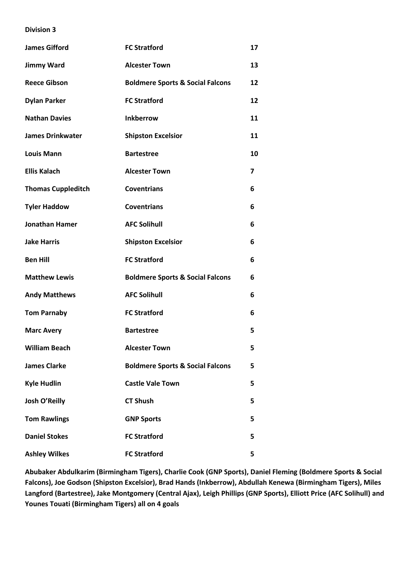| <b>James Gifford</b>      | <b>FC Stratford</b>                         | 17 |
|---------------------------|---------------------------------------------|----|
| <b>Jimmy Ward</b>         | <b>Alcester Town</b>                        | 13 |
| <b>Reece Gibson</b>       | <b>Boldmere Sports &amp; Social Falcons</b> | 12 |
| <b>Dylan Parker</b>       | <b>FC Stratford</b>                         | 12 |
| <b>Nathan Davies</b>      | <b>Inkberrow</b>                            | 11 |
| <b>James Drinkwater</b>   | <b>Shipston Excelsior</b>                   | 11 |
| <b>Louis Mann</b>         | <b>Bartestree</b>                           | 10 |
| <b>Ellis Kalach</b>       | <b>Alcester Town</b>                        | 7  |
| <b>Thomas Cuppleditch</b> | <b>Coventrians</b>                          | 6  |
| <b>Tyler Haddow</b>       | <b>Coventrians</b>                          | 6  |
| <b>Jonathan Hamer</b>     | <b>AFC Solihull</b>                         | 6  |
| <b>Jake Harris</b>        | <b>Shipston Excelsior</b>                   | 6  |
| <b>Ben Hill</b>           | <b>FC Stratford</b>                         | 6  |
| <b>Matthew Lewis</b>      | <b>Boldmere Sports &amp; Social Falcons</b> | 6  |
| <b>Andy Matthews</b>      | <b>AFC Solihull</b>                         | 6  |
| <b>Tom Parnaby</b>        | <b>FC Stratford</b>                         | 6  |
| <b>Marc Avery</b>         | <b>Bartestree</b>                           | 5  |
| <b>William Beach</b>      | <b>Alcester Town</b>                        | 5  |
| <b>James Clarke</b>       | <b>Boldmere Sports &amp; Social Falcons</b> | 5  |
| <b>Kyle Hudlin</b>        | <b>Castle Vale Town</b>                     | 5  |
| Josh O'Reilly             | <b>CT Shush</b>                             | 5  |
| <b>Tom Rawlings</b>       | <b>GNP Sports</b>                           | 5  |
| <b>Daniel Stokes</b>      | <b>FC Stratford</b>                         | 5  |
| <b>Ashley Wilkes</b>      | <b>FC Stratford</b>                         | 5  |

**Abubaker Abdulkarim (Birmingham Tigers), Charlie Cook (GNP Sports), Daniel Fleming (Boldmere Sports & Social Falcons), Joe Godson (Shipston Excelsior), Brad Hands (Inkberrow), Abdullah Kenewa (Birmingham Tigers), Miles Langford (Bartestree), Jake Montgomery (Central Ajax), Leigh Phillips (GNP Sports), Elliott Price (AFC Solihull) and Younes Touati (Birmingham Tigers) all on 4 goals**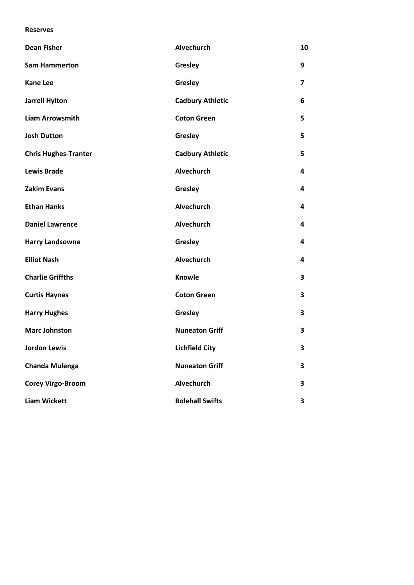#### **Reserves**

| <b>Dean Fisher</b>          | Alvechurch              | 10 |
|-----------------------------|-------------------------|----|
| <b>Sam Hammerton</b>        | Gresley                 | 9  |
| <b>Kane Lee</b>             | Gresley                 | 7  |
| <b>Jarrell Hylton</b>       | <b>Cadbury Athletic</b> | 6  |
| <b>Liam Arrowsmith</b>      | <b>Coton Green</b>      | 5  |
| <b>Josh Dutton</b>          | Gresley                 | 5  |
| <b>Chris Hughes-Tranter</b> | <b>Cadbury Athletic</b> | 5  |
| <b>Lewis Brade</b>          | Alvechurch              | 4  |
| <b>Zakim Evans</b>          | Gresley                 | 4  |
| <b>Ethan Hanks</b>          | <b>Alvechurch</b>       | 4  |
| <b>Daniel Lawrence</b>      | Alvechurch              | 4  |
| <b>Harry Landsowne</b>      | Gresley                 | 4  |
| <b>Elliot Nash</b>          | <b>Alvechurch</b>       | 4  |
| <b>Charlie Griffths</b>     | <b>Knowle</b>           | 3  |
| <b>Curtis Haynes</b>        | <b>Coton Green</b>      | 3  |
| <b>Harry Hughes</b>         | Gresley                 | 3  |
| <b>Marc Johnston</b>        | <b>Nuneaton Griff</b>   | 3  |
| <b>Jordon Lewis</b>         | <b>Lichfield City</b>   | 3  |
| <b>Chanda Mulenga</b>       | <b>Nuneaton Griff</b>   | 3  |
| <b>Corey Virgo-Broom</b>    | <b>Alvechurch</b>       | 3  |
| <b>Liam Wickett</b>         | <b>Bolehall Swifts</b>  | 3  |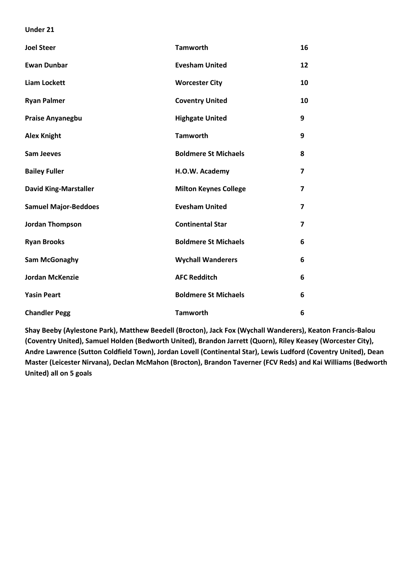#### **Under 21**

| <b>Joel Steer</b>            | <b>Tamworth</b>              | 16             |
|------------------------------|------------------------------|----------------|
| <b>Ewan Dunbar</b>           | <b>Evesham United</b>        | 12             |
| <b>Liam Lockett</b>          | <b>Worcester City</b>        | 10             |
| <b>Ryan Palmer</b>           | <b>Coventry United</b>       | 10             |
| <b>Praise Anyanegbu</b>      | <b>Highgate United</b>       | 9              |
| <b>Alex Knight</b>           | <b>Tamworth</b>              | 9              |
| <b>Sam Jeeves</b>            | <b>Boldmere St Michaels</b>  | 8              |
| <b>Bailey Fuller</b>         | H.O.W. Academy               | $\overline{7}$ |
| <b>David King-Marstaller</b> | <b>Milton Keynes College</b> | $\overline{7}$ |
| <b>Samuel Major-Beddoes</b>  | <b>Evesham United</b>        | $\overline{7}$ |
| <b>Jordan Thompson</b>       | <b>Continental Star</b>      | 7              |
| <b>Ryan Brooks</b>           | <b>Boldmere St Michaels</b>  | 6              |
| Sam McGonaghy                | <b>Wychall Wanderers</b>     | 6              |
| <b>Jordan McKenzie</b>       | <b>AFC Redditch</b>          | 6              |
| <b>Yasin Peart</b>           | <b>Boldmere St Michaels</b>  | 6              |
| <b>Chandler Pegg</b>         | <b>Tamworth</b>              | 6              |

**Shay Beeby (Aylestone Park), Matthew Beedell (Brocton), Jack Fox (Wychall Wanderers), Keaton Francis-Balou (Coventry United), Samuel Holden (Bedworth United), Brandon Jarrett (Quorn), Riley Keasey (Worcester City), Andre Lawrence (Sutton Coldfield Town), Jordan Lovell (Continental Star), Lewis Ludford (Coventry United), Dean Master (Leicester Nirvana), Declan McMahon (Brocton), Brandon Taverner (FCV Reds) and Kai Williams (Bedworth United) all on 5 goals**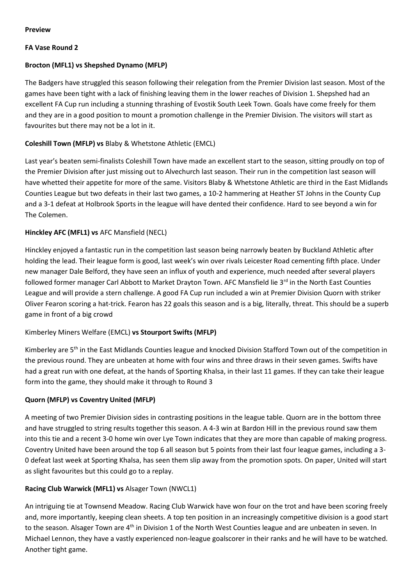## **Preview**

## **FA Vase Round 2**

# **Brocton (MFL1) vs Shepshed Dynamo (MFLP)**

The Badgers have struggled this season following their relegation from the Premier Division last season. Most of the games have been tight with a lack of finishing leaving them in the lower reaches of Division 1. Shepshed had an excellent FA Cup run including a stunning thrashing of Evostik South Leek Town. Goals have come freely for them and they are in a good position to mount a promotion challenge in the Premier Division. The visitors will start as favourites but there may not be a lot in it.

# **Coleshill Town (MFLP) vs** Blaby & Whetstone Athletic (EMCL)

Last year's beaten semi-finalists Coleshill Town have made an excellent start to the season, sitting proudly on top of the Premier Division after just missing out to Alvechurch last season. Their run in the competition last season will have whetted their appetite for more of the same. Visitors Blaby & Whetstone Athletic are third in the East Midlands Counties League but two defeats in their last two games, a 10-2 hammering at Heather ST Johns in the County Cup and a 3-1 defeat at Holbrook Sports in the league will have dented their confidence. Hard to see beyond a win for The Colemen.

# **Hinckley AFC (MFL1) vs** AFC Mansfield (NECL)

Hinckley enjoyed a fantastic run in the competition last season being narrowly beaten by Buckland Athletic after holding the lead. Their league form is good, last week's win over rivals Leicester Road cementing fifth place. Under new manager Dale Belford, they have seen an influx of youth and experience, much needed after several players followed former manager Carl Abbott to Market Drayton Town. AFC Mansfield lie 3<sup>rd</sup> in the North East Counties League and will provide a stern challenge. A good FA Cup run included a win at Premier Division Quorn with striker Oliver Fearon scoring a hat-trick. Fearon has 22 goals this season and is a big, literally, threat. This should be a superb game in front of a big crowd

## Kimberley Miners Welfare (EMCL) **vs Stourport Swifts (MFLP)**

Kimberley are 5th in the East Midlands Counties league and knocked Division Stafford Town out of the competition in the previous round. They are unbeaten at home with four wins and three draws in their seven games. Swifts have had a great run with one defeat, at the hands of Sporting Khalsa, in their last 11 games. If they can take their league form into the game, they should make it through to Round 3

## **Quorn (MFLP) vs Coventry United (MFLP)**

A meeting of two Premier Division sides in contrasting positions in the league table. Quorn are in the bottom three and have struggled to string results together this season. A 4-3 win at Bardon Hill in the previous round saw them into this tie and a recent 3-0 home win over Lye Town indicates that they are more than capable of making progress. Coventry United have been around the top 6 all season but 5 points from their last four league games, including a 3- 0 defeat last week at Sporting Khalsa, has seen them slip away from the promotion spots. On paper, United will start as slight favourites but this could go to a replay.

## **Racing Club Warwick (MFL1) vs** Alsager Town (NWCL1)

An intriguing tie at Townsend Meadow. Racing Club Warwick have won four on the trot and have been scoring freely and, more importantly, keeping clean sheets. A top ten position in an increasingly competitive division is a good start to the season. Alsager Town are 4<sup>th</sup> in Division 1 of the North West Counties league and are unbeaten in seven. In Michael Lennon, they have a vastly experienced non-league goalscorer in their ranks and he will have to be watched. Another tight game.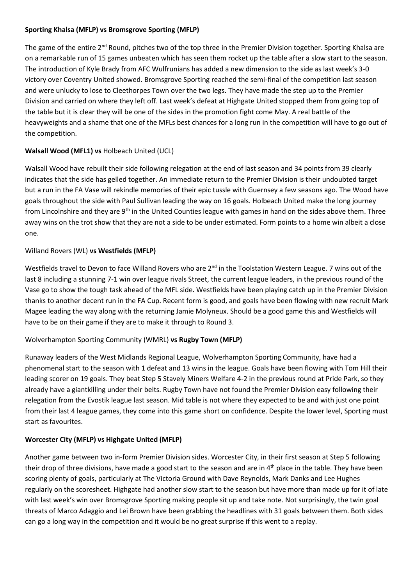## **Sporting Khalsa (MFLP) vs Bromsgrove Sporting (MFLP)**

The game of the entire 2<sup>nd</sup> Round, pitches two of the top three in the Premier Division together. Sporting Khalsa are on a remarkable run of 15 games unbeaten which has seen them rocket up the table after a slow start to the season. The introduction of Kyle Brady from AFC Wulfrunians has added a new dimension to the side as last week's 3-0 victory over Coventry United showed. Bromsgrove Sporting reached the semi-final of the competition last season and were unlucky to lose to Cleethorpes Town over the two legs. They have made the step up to the Premier Division and carried on where they left off. Last week's defeat at Highgate United stopped them from going top of the table but it is clear they will be one of the sides in the promotion fight come May. A real battle of the heavyweights and a shame that one of the MFLs best chances for a long run in the competition will have to go out of the competition.

# **Walsall Wood (MFL1) vs** Holbeach United (UCL)

Walsall Wood have rebuilt their side following relegation at the end of last season and 34 points from 39 clearly indicates that the side has gelled together. An immediate return to the Premier Division is their undoubted target but a run in the FA Vase will rekindle memories of their epic tussle with Guernsey a few seasons ago. The Wood have goals throughout the side with Paul Sullivan leading the way on 16 goals. Holbeach United make the long journey from Lincolnshire and they are 9<sup>th</sup> in the United Counties league with games in hand on the sides above them. Three away wins on the trot show that they are not a side to be under estimated. Form points to a home win albeit a close one.

# Willand Rovers (WL) **vs Westfields (MFLP)**

Westfields travel to Devon to face Willand Rovers who are 2<sup>nd</sup> in the Toolstation Western League. 7 wins out of the last 8 including a stunning 7-1 win over league rivals Street, the current league leaders, in the previous round of the Vase go to show the tough task ahead of the MFL side. Westfields have been playing catch up in the Premier Division thanks to another decent run in the FA Cup. Recent form is good, and goals have been flowing with new recruit Mark Magee leading the way along with the returning Jamie Molyneux. Should be a good game this and Westfields will have to be on their game if they are to make it through to Round 3.

## Wolverhampton Sporting Community (WMRL) **vs Rugby Town (MFLP)**

Runaway leaders of the West Midlands Regional League, Wolverhampton Sporting Community, have had a phenomenal start to the season with 1 defeat and 13 wins in the league. Goals have been flowing with Tom Hill their leading scorer on 19 goals. They beat Step 5 Stavely Miners Welfare 4-2 in the previous round at Pride Park, so they already have a giantkilling under their belts. Rugby Town have not found the Premier Division easy following their relegation from the Evostik league last season. Mid table is not where they expected to be and with just one point from their last 4 league games, they come into this game short on confidence. Despite the lower level, Sporting must start as favourites.

## **Worcester City (MFLP) vs Highgate United (MFLP)**

Another game between two in-form Premier Division sides. Worcester City, in their first season at Step 5 following their drop of three divisions, have made a good start to the season and are in 4<sup>th</sup> place in the table. They have been scoring plenty of goals, particularly at The Victoria Ground with Dave Reynolds, Mark Danks and Lee Hughes regularly on the scoresheet. Highgate had another slow start to the season but have more than made up for it of late with last week's win over Bromsgrove Sporting making people sit up and take note. Not surprisingly, the twin goal threats of Marco Adaggio and Lei Brown have been grabbing the headlines with 31 goals between them. Both sides can go a long way in the competition and it would be no great surprise if this went to a replay.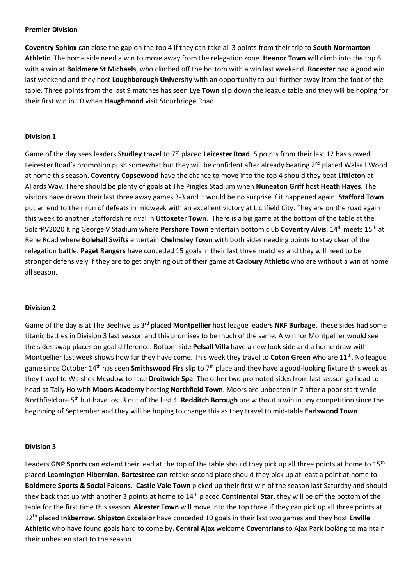#### **Premier Division**

**Coventry Sphinx** can close the gap on the top 4 if they can take all 3 points from their trip to **South Normanton Athletic**. The home side need a win to move away from the relegation zone. **Heanor Town** will climb into the top 6 with a win at **Boldmere St Michaels**, who climbed off the bottom with a win last weekend. **Rocester** had a good win last weekend and they host **Loughborough University** with an opportunity to pull further away from the foot of the table. Three points from the last 9 matches has seen **Lye Town** slip down the league table and they will be hoping for their first win in 10 when **Haughmond** visit Stourbridge Road.

### **Division 1**

Game of the day sees leaders **Studley** travel to 7th placed **Leicester Road**. 5 points from their last 12 has slowed Leicester Road's promotion push somewhat but they will be confident after already beating 2<sup>nd</sup> placed Walsall Wood at home this season. **Coventry Copsewood** have the chance to move into the top 4 should they beat **Littleton** at Allards Way. There should be plenty of goals at The Pingles Stadium when **Nuneaton Griff** host **Heath Hayes**. The visitors have drawn their last three away games 3-3 and it would be no surprise if it happened again. **Stafford Town** put an end to their run of defeats in midweek with an excellent victory at Lichfield City. They are on the road again this week to another Staffordshire rival in **Uttoxeter Town**. There is a big game at the bottom of the table at the SolarPV2020 King George V Stadium where **Pershore Town** entertain bottom club **Coventry Alvis**. 14th meets 15th at Rene Road where **Bolehall Swifts** entertain **Chelmsley Town** with both sides needing points to stay clear of the relegation battle. **Paget Rangers** have conceded 15 goals in their last three matches and they will need to be stronger defensively if they are to get anything out of their game at **Cadbury Athletic** who are without a win at home all season.

#### **Division 2**

Game of the day is at The Beehive as 3rd placed **Montpellier** host league leaders **NKF Burbage**. These sides had some titanic battles in Division 3 last season and this promises to be much of the same. A win for Montpellier would see the sides swap places on goal difference. Bottom side **Pelsall Villa** have a new look side and a home draw with Montpellier last week shows how far they have come. This week they travel to **Coton Green** who are 11<sup>th</sup>. No league game since October 14th has seen **Smithswood Firs** slip to 7th place and they have a good-looking fixture this week as they travel to Walshes Meadow to face **Droitwich Spa**. The other two promoted sides from last season go head to head at Tally Ho with **Moors Academy** hosting **Northfield Town**. Moors are unbeaten in 7 after a poor start while Northfield are 5th but have lost 3 out of the last 4. **Redditch Borough** are without a win in any competition since the beginning of September and they will be hoping to change this as they travel to mid-table **Earlswood Town**.

#### **Division 3**

Leaders **GNP Sports** can extend their lead at the top of the table should they pick up all three points at home to 15th placed **Leamington Hibernian**. **Bartestree** can retake second place should they pick up at least a point at home to **Boldmere Sports & Social Falcons**. **Castle Vale Town** picked up their first win of the season last Saturday and should they back that up with another 3 points at home to 14th placed **Continental Star**, they will be off the bottom of the table for the first time this season. **Alcester Town** will move into the top three if they can pick up all three points at 12th placed **Inkberrow**. **Shipston Excelsior** have conceded 10 goals in their last two games and they host **Enville Athletic** who have found goals hard to come by. **Central Ajax** welcome **Coventrians** to Ajax Park looking to maintain their unbeaten start to the season.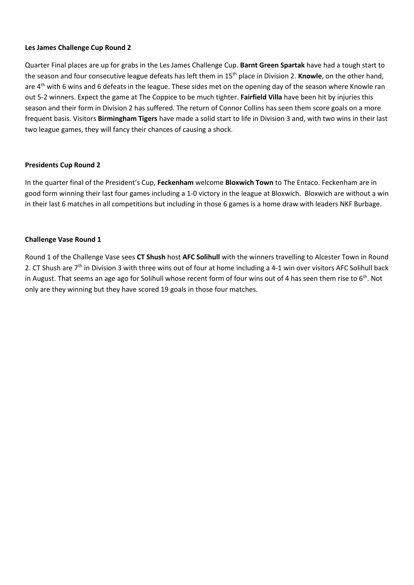## **Les James Challenge Cup Round 2**

Quarter Final places are up for grabs in the Les James Challenge Cup. **Barnt Green Spartak** have had a tough start to the season and four consecutive league defeats has left them in 15th place in Division 2. **Knowle**, on the other hand, are 4<sup>th</sup> with 6 wins and 6 defeats in the league. These sides met on the opening day of the season where Knowle ran out 5-2 winners. Expect the game at The Coppice to be much tighter. **Fairfield Villa** have been hit by injuries this season and their form in Division 2 has suffered. The return of Connor Collins has seen them score goals on a more frequent basis. Visitors **Birmingham Tigers** have made a solid start to life in Division 3 and, with two wins in their last two league games, they will fancy their chances of causing a shock.

## **Presidents Cup Round 2**

In the quarter final of the President's Cup, **Feckenham** welcome **Bloxwich Town** to The Entaco. Feckenham are in good form winning their last four games including a 1-0 victory in the league at Bloxwich. Bloxwich are without a win in their last 6 matches in all competitions but including in those 6 games is a home draw with leaders NKF Burbage.

## **Challenge Vase Round 1**

Round 1 of the Challenge Vase sees **CT Shush** host **AFC Solihull** with the winners travelling to Alcester Town in Round 2. CT Shush are  $7<sup>th</sup>$  in Division 3 with three wins out of four at home including a 4-1 win over visitors AFC Solihull back in August. That seems an age ago for Solihull whose recent form of four wins out of 4 has seen them rise to 6<sup>th</sup>. Not only are they winning but they have scored 19 goals in those four matches.